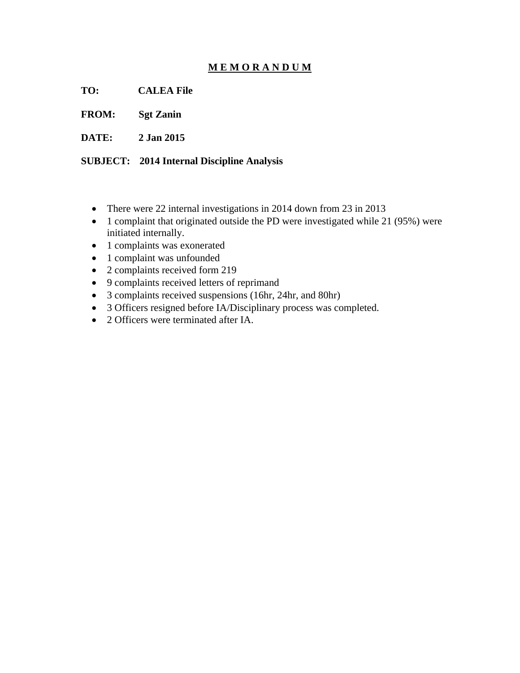## **M E M O R A N D U M**

**TO: CALEA File** 

**FROM: Sgt Zanin** 

**DATE: 2 Jan 2015** 

**SUBJECT: 2014 Internal Discipline Analysis** 

- There were 22 internal investigations in 2014 down from 23 in 2013
- 1 complaint that originated outside the PD were investigated while 21 (95%) were initiated internally.
- 1 complaints was exonerated
- 1 complaint was unfounded
- 2 complaints received form 219
- 9 complaints received letters of reprimand
- 3 complaints received suspensions (16hr, 24hr, and 80hr)
- 3 Officers resigned before IA/Disciplinary process was completed.
- 2 Officers were terminated after IA.